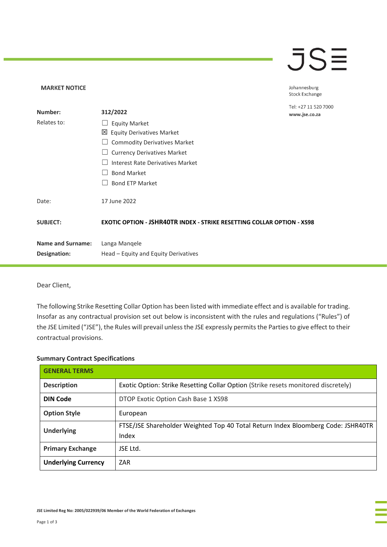## **JSE**

Johannesburg Stock Exchange

| Number:                  | 312/2022                                                                      | Tel: +27 11 520 7000<br>www.jse.co.za |
|--------------------------|-------------------------------------------------------------------------------|---------------------------------------|
| Relates to:              | <b>Equity Market</b>                                                          |                                       |
|                          | ⊠<br><b>Equity Derivatives Market</b>                                         |                                       |
|                          | <b>Commodity Derivatives Market</b>                                           |                                       |
|                          | <b>Currency Derivatives Market</b>                                            |                                       |
|                          | Interest Rate Derivatives Market                                              |                                       |
|                          | <b>Bond Market</b>                                                            |                                       |
|                          | <b>Bond ETP Market</b>                                                        |                                       |
| Date:                    | 17 June 2022                                                                  |                                       |
| <b>SUBJECT:</b>          | <b>EXOTIC OPTION - JSHR40TR INDEX - STRIKE RESETTING COLLAR OPTION - XS98</b> |                                       |
| <b>Name and Surname:</b> | Langa Mangele                                                                 |                                       |
| Designation:             | Head - Equity and Equity Derivatives                                          |                                       |

Dear Client,

**MARKET NOTICE** 

The following Strike Resetting Collar Option has been listed with immediate effect and is available for trading. Insofar as any contractual provision set out below is inconsistent with the rules and regulations ("Rules") of the JSE Limited ("JSE"), the Rules will prevail unless the JSE expressly permits the Parties to give effect to their contractual provisions.

## **Summary Contract Specifications**

| <b>GENERAL TERMS</b>       |                                                                                           |  |
|----------------------------|-------------------------------------------------------------------------------------------|--|
| <b>Description</b>         | Exotic Option: Strike Resetting Collar Option (Strike resets monitored discretely)        |  |
| <b>DIN Code</b>            | DTOP Exotic Option Cash Base 1 XS98                                                       |  |
| <b>Option Style</b>        | European                                                                                  |  |
| <b>Underlying</b>          | FTSE/JSE Shareholder Weighted Top 40 Total Return Index Bloomberg Code: JSHR40TR<br>Index |  |
| <b>Primary Exchange</b>    | JSE Ltd.                                                                                  |  |
| <b>Underlying Currency</b> | ZAR                                                                                       |  |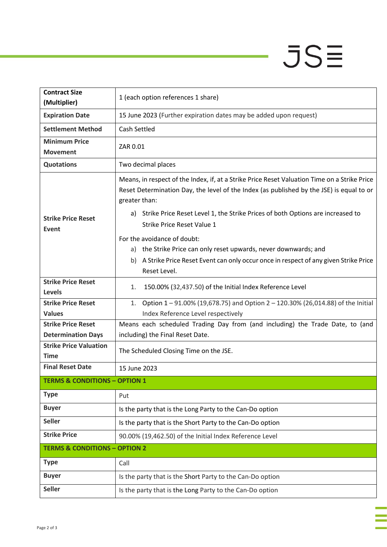## $JSE$

| <b>Contract Size</b><br>(Multiplier)         | 1 (each option references 1 share)                                                                                                                                                                                                                                                                                                     |  |
|----------------------------------------------|----------------------------------------------------------------------------------------------------------------------------------------------------------------------------------------------------------------------------------------------------------------------------------------------------------------------------------------|--|
| <b>Expiration Date</b>                       | 15 June 2023 (Further expiration dates may be added upon request)                                                                                                                                                                                                                                                                      |  |
| <b>Settlement Method</b>                     | <b>Cash Settled</b>                                                                                                                                                                                                                                                                                                                    |  |
| <b>Minimum Price</b><br><b>Movement</b>      | ZAR 0.01                                                                                                                                                                                                                                                                                                                               |  |
| <b>Quotations</b>                            | Two decimal places                                                                                                                                                                                                                                                                                                                     |  |
| <b>Strike Price Reset</b><br><b>Event</b>    | Means, in respect of the Index, if, at a Strike Price Reset Valuation Time on a Strike Price<br>Reset Determination Day, the level of the Index (as published by the JSE) is equal to or<br>greater than:<br>Strike Price Reset Level 1, the Strike Prices of both Options are increased to<br>a)<br><b>Strike Price Reset Value 1</b> |  |
|                                              | For the avoidance of doubt:<br>the Strike Price can only reset upwards, never downwards; and<br>a)<br>A Strike Price Reset Event can only occur once in respect of any given Strike Price<br>b)<br>Reset Level.                                                                                                                        |  |
| <b>Strike Price Reset</b><br><b>Levels</b>   | 150.00% (32,437.50) of the Initial Index Reference Level<br>1.                                                                                                                                                                                                                                                                         |  |
| <b>Strike Price Reset</b><br><b>Values</b>   | Option 1-91.00% (19,678.75) and Option 2-120.30% (26,014.88) of the Initial<br>1.<br>Index Reference Level respectively                                                                                                                                                                                                                |  |
| <b>Strike Price Reset</b>                    | Means each scheduled Trading Day from (and including) the Trade Date, to (and                                                                                                                                                                                                                                                          |  |
| <b>Determination Days</b>                    | including) the Final Reset Date.                                                                                                                                                                                                                                                                                                       |  |
| <b>Strike Price Valuation</b><br><b>Time</b> | The Scheduled Closing Time on the JSE.                                                                                                                                                                                                                                                                                                 |  |
| <b>Final Reset Date</b>                      | 15 June 2023                                                                                                                                                                                                                                                                                                                           |  |
| <b>TERMS &amp; CONDITIONS - OPTION 1</b>     |                                                                                                                                                                                                                                                                                                                                        |  |
| <b>Type</b>                                  | Put                                                                                                                                                                                                                                                                                                                                    |  |
| <b>Buyer</b>                                 | Is the party that is the Long Party to the Can-Do option                                                                                                                                                                                                                                                                               |  |
| <b>Seller</b>                                | Is the party that is the Short Party to the Can-Do option                                                                                                                                                                                                                                                                              |  |
| <b>Strike Price</b>                          | 90.00% (19,462.50) of the Initial Index Reference Level                                                                                                                                                                                                                                                                                |  |
| <b>TERMS &amp; CONDITIONS - OPTION 2</b>     |                                                                                                                                                                                                                                                                                                                                        |  |
| <b>Type</b>                                  | Call                                                                                                                                                                                                                                                                                                                                   |  |
| <b>Buyer</b>                                 | Is the party that is the Short Party to the Can-Do option                                                                                                                                                                                                                                                                              |  |
| <b>Seller</b>                                | Is the party that is the Long Party to the Can-Do option                                                                                                                                                                                                                                                                               |  |